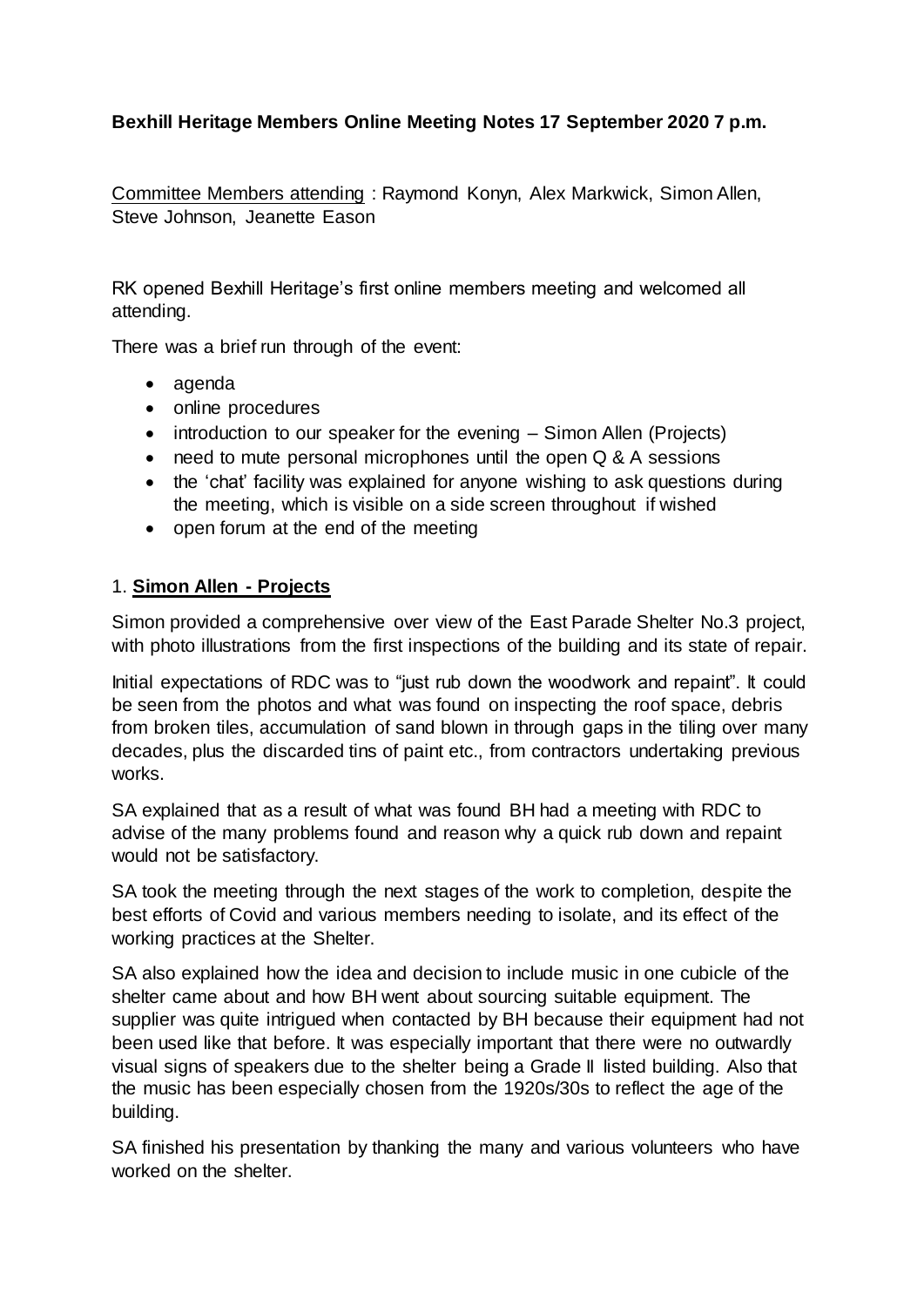## **Bexhill Heritage Members Online Meeting Notes 17 September 2020 7 p.m.**

Committee Members attending : Raymond Konyn, Alex Markwick, Simon Allen, Steve Johnson, Jeanette Eason

RK opened Bexhill Heritage's first online members meeting and welcomed all attending.

There was a brief run through of the event:

- agenda
- online procedures
- introduction to our speaker for the evening Simon Allen (Projects)
- need to mute personal microphones until the open Q & A sessions
- the 'chat' facility was explained for anyone wishing to ask questions during the meeting, which is visible on a side screen throughout if wished
- open forum at the end of the meeting

## 1. **Simon Allen - Projects**

Simon provided a comprehensive over view of the East Parade Shelter No.3 project, with photo illustrations from the first inspections of the building and its state of repair.

Initial expectations of RDC was to "just rub down the woodwork and repaint". It could be seen from the photos and what was found on inspecting the roof space, debris from broken tiles, accumulation of sand blown in through gaps in the tiling over many decades, plus the discarded tins of paint etc., from contractors undertaking previous works.

SA explained that as a result of what was found BH had a meeting with RDC to advise of the many problems found and reason why a quick rub down and repaint would not be satisfactory.

SA took the meeting through the next stages of the work to completion, despite the best efforts of Covid and various members needing to isolate, and its effect of the working practices at the Shelter.

SA also explained how the idea and decision to include music in one cubicle of the shelter came about and how BH went about sourcing suitable equipment. The supplier was quite intrigued when contacted by BH because their equipment had not been used like that before. It was especially important that there were no outwardly visual signs of speakers due to the shelter being a Grade II listed building. Also that the music has been especially chosen from the 1920s/30s to reflect the age of the building.

SA finished his presentation by thanking the many and various volunteers who have worked on the shelter.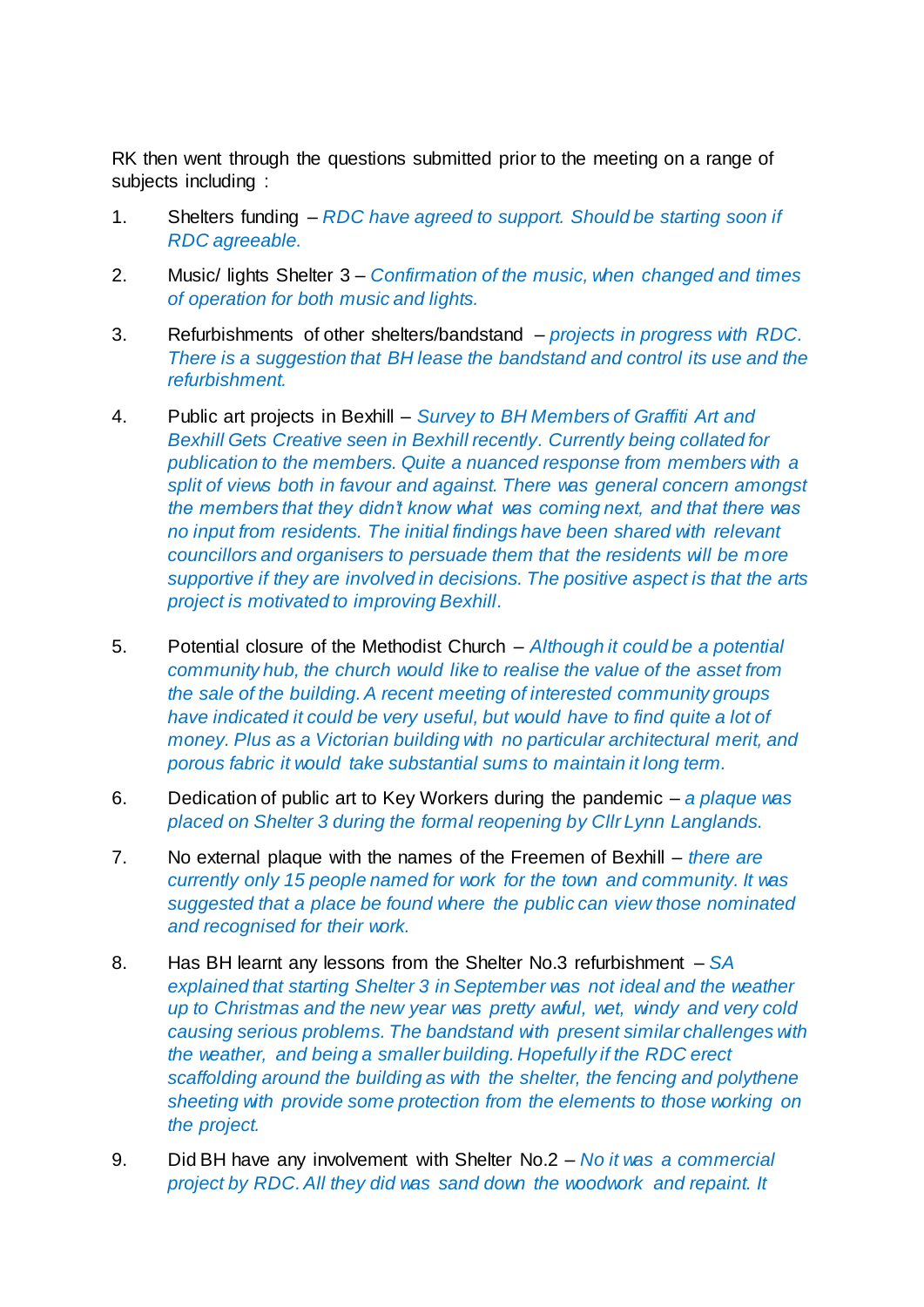RK then went through the questions submitted prior to the meeting on a range of subjects including :

- 1. Shelters funding *RDC have agreed to support. Should be starting soon if RDC agreeable.*
- 2. Music/ lights Shelter 3 *Confirmation of the music, when changed and times of operation for both music and lights.*
- 3. Refurbishments of other shelters/bandstand *projects in progress with RDC. There is a suggestion that BH lease the bandstand and control its use and the refurbishment.*
- 4. Public art projects in Bexhill *Survey to BH Members of Graffiti Art and Bexhill Gets Creative seen in Bexhill recently. Currently being collated for publication to the members. Quite a nuanced response from members with a split of views both in favour and against. There was general concern amongst the members that they didn't know what was coming next, and that there was no input from residents. The initial findings have been shared with relevant councillors and organisers to persuade them that the residents will be more supportive if they are involved in decisions. The positive aspect is that the arts project is motivated to improving Bexhill.*
- 5. Potential closure of the Methodist Church *Although it could be a potential community hub, the church would like to realise the value of the asset from the sale of the building. A recent meeting of interested community groups have indicated it could be very useful, but would have to find quite a lot of money. Plus as a Victorian building with no particular architectural merit, and porous fabric it would take substantial sums to maintain it long term.*
- 6. Dedication of public art to Key Workers during the pandemic *a plaque was placed on Shelter 3 during the formal reopening by Cllr Lynn Langlands.*
- 7. No external plaque with the names of the Freemen of Bexhill *there are currently only 15 people named for work for the town and community. It was suggested that a place be found where the public can view those nominated and recognised for their work.*
- 8. Has BH learnt any lessons from the Shelter No.3 refurbishment *SA explained that starting Shelter 3 in September was not ideal and the weather up to Christmas and the new year was pretty awful, wet, windy and very cold causing serious problems. The bandstand with present similar challenges with the weather, and being a smaller building. Hopefully if the RDC erect scaffolding around the building as with the shelter, the fencing and polythene sheeting with provide some protection from the elements to those working on the project.*
- 9. Did BH have any involvement with Shelter No.2 *No it was a commercial project by RDC. All they did was sand down the woodwork and repaint. It*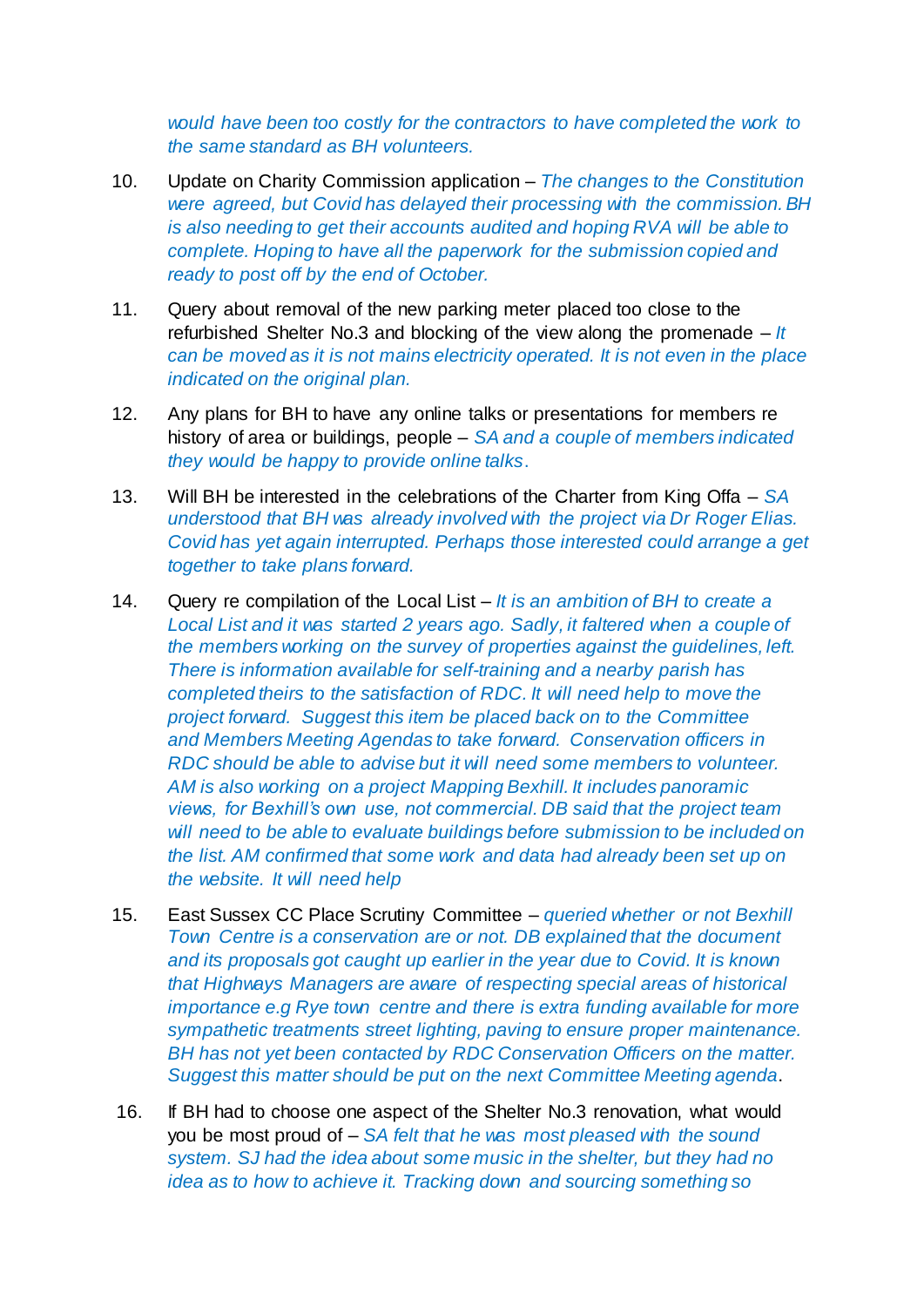*would have been too costly for the contractors to have completed the work to the same standard as BH volunteers.* 

- 10. Update on Charity Commission application *The changes to the Constitution were agreed, but Covid has delayed their processing with the commission. BH is also needing to get their accounts audited and hoping RVA will be able to complete. Hoping to have all the paperwork for the submission copied and ready to post off by the end of October.*
- 11. Query about removal of the new parking meter placed too close to the refurbished Shelter No.3 and blocking of the view along the promenade – *It can be moved as it is not mains electricity operated. It is not even in the place indicated on the original plan.*
- 12. Any plans for BH to have any online talks or presentations for members re history of area or buildings, people – *SA and a couple of members indicated they would be happy to provide online talks*.
- 13. Will BH be interested in the celebrations of the Charter from King Offa *SA understood that BH was already involved with the project via Dr Roger Elias. Covid has yet again interrupted. Perhaps those interested could arrange a get together to take plans forward.*
- 14. Query re compilation of the Local List *It is an ambition of BH to create a Local List and it was started 2 years ago. Sadly, it faltered when a couple of the members working on the survey of properties against the guidelines, left. There is information available for self-training and a nearby parish has completed theirs to the satisfaction of RDC. It will need help to move the project forward. Suggest this item be placed back on to the Committee and Members Meeting Agendas to take forward. Conservation officers in RDC should be able to advise but it will need some members to volunteer. AM is also working on a project Mapping Bexhill. It includes panoramic views, for Bexhill's own use, not commercial. DB said that the project team will need to be able to evaluate buildings before submission to be included on the list. AM confirmed that some work and data had already been set up on the website. It will need help*
- 15. East Sussex CC Place Scrutiny Committee *queried whether or not Bexhill Town Centre is a conservation are or not. DB explained that the document and its proposals got caught up earlier in the year due to Covid. It is known that Highways Managers are aware of respecting special areas of historical importance e.g Rye town centre and there is extra funding available for more sympathetic treatments street lighting, paving to ensure proper maintenance. BH has not yet been contacted by RDC Conservation Officers on the matter. Suggest this matter should be put on the next Committee Meeting agenda*.
- 16. If BH had to choose one aspect of the Shelter No.3 renovation, what would you be most proud of – *SA felt that he was most pleased with the sound system. SJ had the idea about some music in the shelter, but they had no idea as to how to achieve it. Tracking down and sourcing something so*